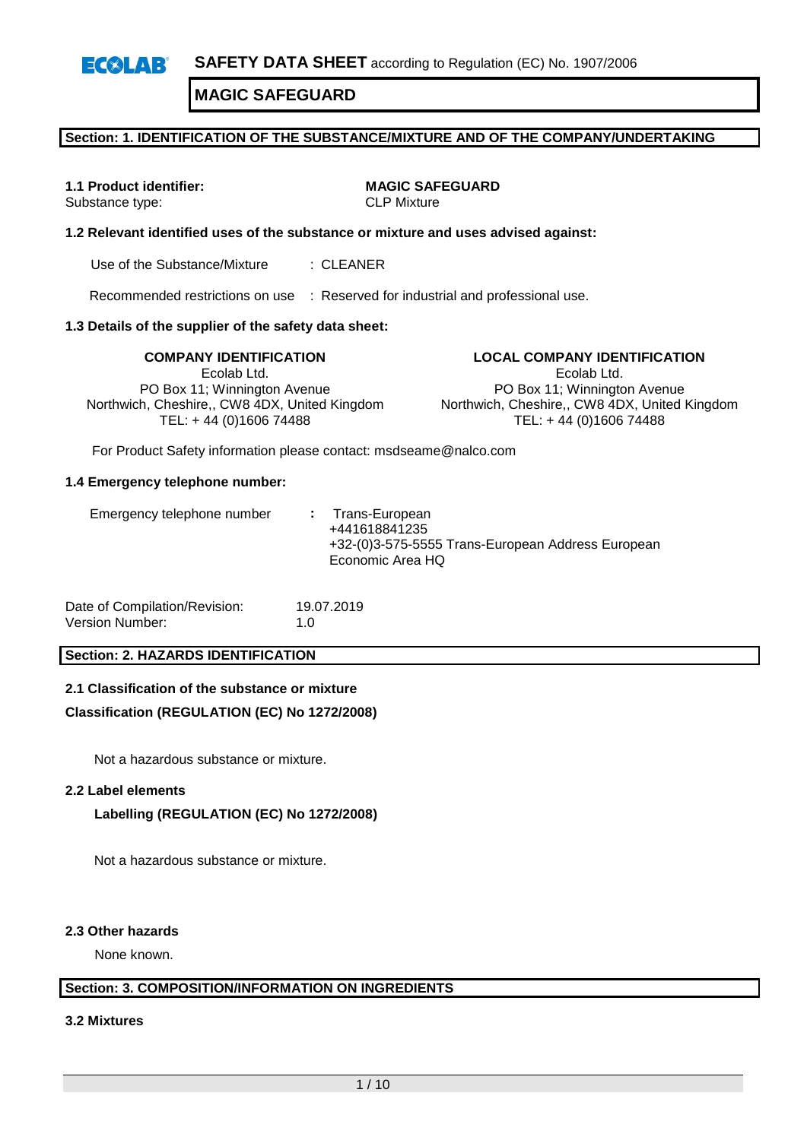# **Section: 1. IDENTIFICATION OF THE SUBSTANCE/MIXTURE AND OF THE COMPANY/UNDERTAKING**

Substance type:

**1.1 Product identifier: MAGIC SAFEGUARD**<br>Substance type: **MAGIC SAFEGUARD** 

# **1.2 Relevant identified uses of the substance or mixture and uses advised against:**

Use of the Substance/Mixture : CLEANER

Recommended restrictions on use : Reserved for industrial and professional use.

# **1.3 Details of the supplier of the safety data sheet:**

Ecolab Ltd. PO Box 11; Winnington Avenue Northwich, Cheshire,, CW8 4DX, United Kingdom TEL: + 44 (0)1606 74488

**COMPANY IDENTIFICATION LOCAL COMPANY IDENTIFICATION** Ecolab Ltd. PO Box 11; Winnington Avenue Northwich, Cheshire,, CW8 4DX, United Kingdom TEL: + 44 (0)1606 74488

For Product Safety information please contact: msdseame@nalco.com

#### **1.4 Emergency telephone number:**

| Emergency telephone number | : Trans-European<br>+441618841235<br>+32-(0)3-575-5555 Trans-European Address European<br>Economic Area HQ |
|----------------------------|------------------------------------------------------------------------------------------------------------|
|                            |                                                                                                            |

Date of Compilation/Revision: 19.07.2019 Version Number: 1.0

# **Section: 2. HAZARDS IDENTIFICATION**

# **2.1 Classification of the substance or mixture**

# **Classification (REGULATION (EC) No 1272/2008)**

Not a hazardous substance or mixture.

#### **2.2 Label elements**

# **Labelling (REGULATION (EC) No 1272/2008)**

Not a hazardous substance or mixture.

#### **2.3 Other hazards**

None known.

# **Section: 3. COMPOSITION/INFORMATION ON INGREDIENTS**

**3.2 Mixtures**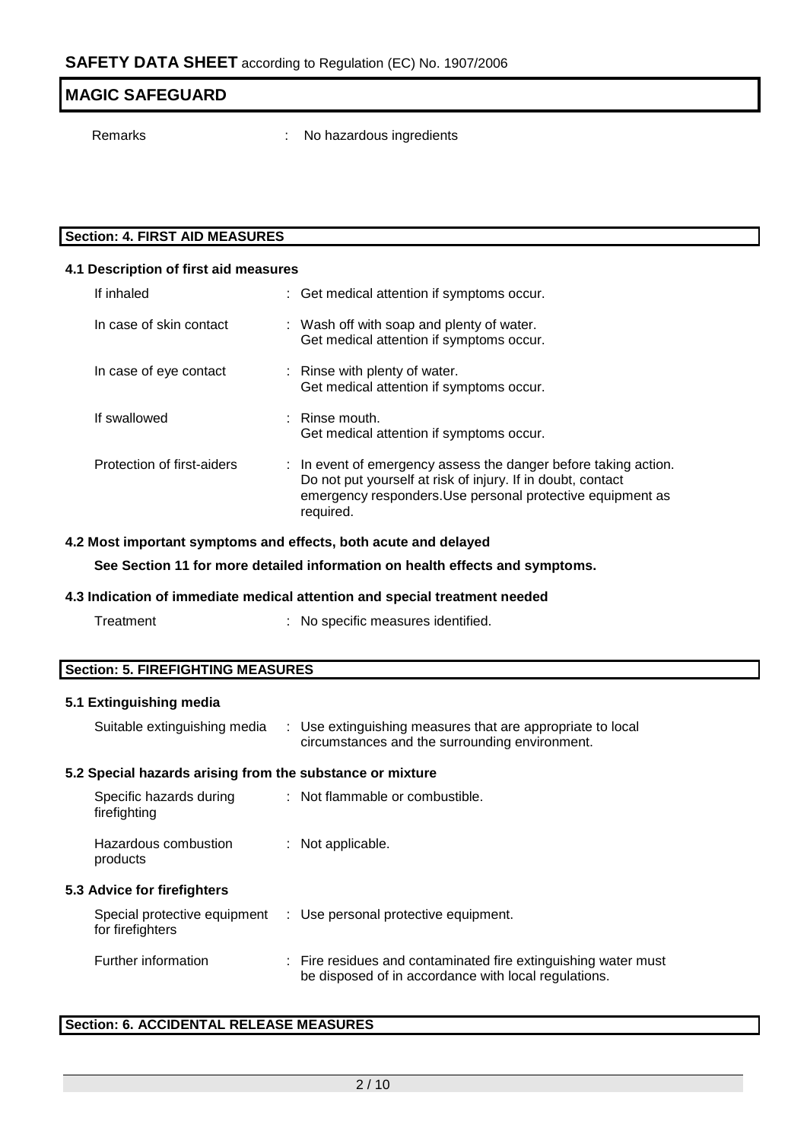# **MAGIC SAFEGUARD** Remarks : No hazardous ingredients

# **Section: 4. FIRST AID MEASURES**

| 4.1 Description of first aid measures |  |                                                                                                                                                                                                           |  |  |  |  |
|---------------------------------------|--|-----------------------------------------------------------------------------------------------------------------------------------------------------------------------------------------------------------|--|--|--|--|
| If inhaled                            |  | : Get medical attention if symptoms occur.                                                                                                                                                                |  |  |  |  |
| In case of skin contact               |  | : Wash off with soap and plenty of water.<br>Get medical attention if symptoms occur.                                                                                                                     |  |  |  |  |
| In case of eye contact                |  | : Rinse with plenty of water.<br>Get medical attention if symptoms occur.                                                                                                                                 |  |  |  |  |
| If swallowed                          |  | $\therefore$ Rinse mouth.<br>Get medical attention if symptoms occur.                                                                                                                                     |  |  |  |  |
| Protection of first-aiders            |  | : In event of emergency assess the danger before taking action.<br>Do not put yourself at risk of injury. If in doubt, contact<br>emergency responders. Use personal protective equipment as<br>required. |  |  |  |  |

# **4.2 Most important symptoms and effects, both acute and delayed**

**See Section 11 for more detailed information on health effects and symptoms.**

# **4.3 Indication of immediate medical attention and special treatment needed**

| : No specific measures identified.<br>Treatment |
|-------------------------------------------------|
|-------------------------------------------------|

# **Section: 5. FIREFIGHTING MEASURES**

# **5.1 Extinguishing media**

| Suitable extinguishing media                              |  | : Use extinguishing measures that are appropriate to local<br>circumstances and the surrounding environment.           |  |  |  |  |
|-----------------------------------------------------------|--|------------------------------------------------------------------------------------------------------------------------|--|--|--|--|
| 5.2 Special hazards arising from the substance or mixture |  |                                                                                                                        |  |  |  |  |
| Specific hazards during<br>firefighting                   |  | : Not flammable or combustible.                                                                                        |  |  |  |  |
| Hazardous combustion<br>products                          |  | : Not applicable.                                                                                                      |  |  |  |  |
| <b>5.3 Advice for firefighters</b>                        |  |                                                                                                                        |  |  |  |  |
| for firefighters                                          |  | Special protective equipment : Use personal protective equipment.                                                      |  |  |  |  |
| Further information                                       |  | : Fire residues and contaminated fire extinguishing water must<br>be disposed of in accordance with local regulations. |  |  |  |  |

# **Section: 6. ACCIDENTAL RELEASE MEASURES**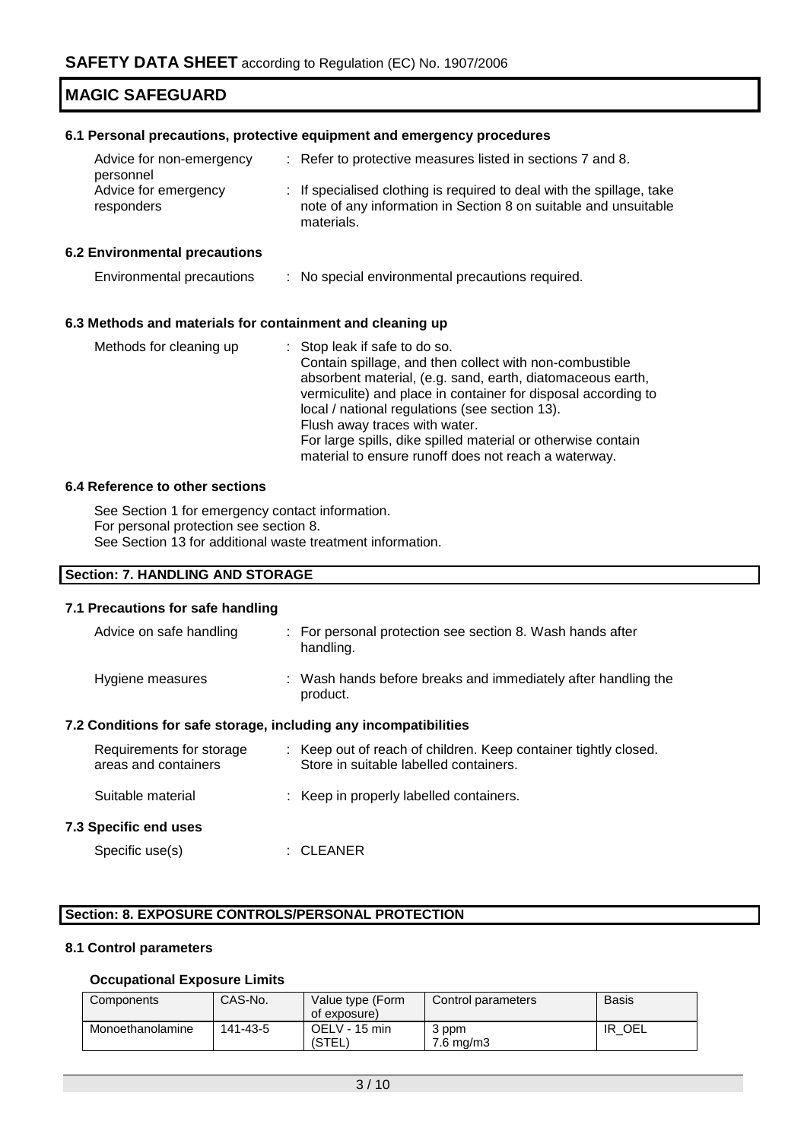#### **6.1 Personal precautions, protective equipment and emergency procedures**

| Advice for non-emergency           | : Refer to protective measures listed in sections 7 and 8.                                                                                             |
|------------------------------------|--------------------------------------------------------------------------------------------------------------------------------------------------------|
| personnel                          |                                                                                                                                                        |
| Advice for emergency<br>responders | : If specialised clothing is required to deal with the spillage, take<br>note of any information in Section 8 on suitable and unsuitable<br>materials. |

#### **6.2 Environmental precautions**

| Environmental precautions |  | No special environmental precautions required. |  |
|---------------------------|--|------------------------------------------------|--|
|---------------------------|--|------------------------------------------------|--|

#### **6.3 Methods and materials for containment and cleaning up**

| : Stop leak if safe to do so.                                 |
|---------------------------------------------------------------|
| Contain spillage, and then collect with non-combustible       |
| absorbent material, (e.g. sand, earth, diatomaceous earth,    |
| vermiculite) and place in container for disposal according to |
| local / national regulations (see section 13).                |
| Flush away traces with water.                                 |
| For large spills, dike spilled material or otherwise contain  |
| material to ensure runoff does not reach a waterway.          |
|                                                               |

#### **6.4 Reference to other sections**

See Section 1 for emergency contact information. For personal protection see section 8. See Section 13 for additional waste treatment information.

# **Section: 7. HANDLING AND STORAGE**

#### **7.1 Precautions for safe handling**

| Advice on safe handling                                          |  | : For personal protection see section 8. Wash hands after<br>handling.                                    |  |  |  |
|------------------------------------------------------------------|--|-----------------------------------------------------------------------------------------------------------|--|--|--|
| Hygiene measures                                                 |  | : Wash hands before breaks and immediately after handling the<br>product.                                 |  |  |  |
| 7.2 Conditions for safe storage, including any incompatibilities |  |                                                                                                           |  |  |  |
| Requirements for storage<br>areas and containers                 |  | : Keep out of reach of children. Keep container tightly closed.<br>Store in suitable labelled containers. |  |  |  |
| Suitable material                                                |  | : Keep in properly labelled containers.                                                                   |  |  |  |
| 7.3 Specific end uses                                            |  |                                                                                                           |  |  |  |

Specific use(s) : CLEANER

# **Section: 8. EXPOSURE CONTROLS/PERSONAL PROTECTION**

# **8.1 Control parameters**

# **Occupational Exposure Limits**

| Components       | CAS-No.  | Value type (Form<br>of exposure) | Control parameters | <b>Basis</b> |
|------------------|----------|----------------------------------|--------------------|--------------|
| Monoethanolamine | 141-43-5 | OELV - 15 min<br>(STEL)          | 3 ppm<br>7.6 mg/m3 | IR OEL       |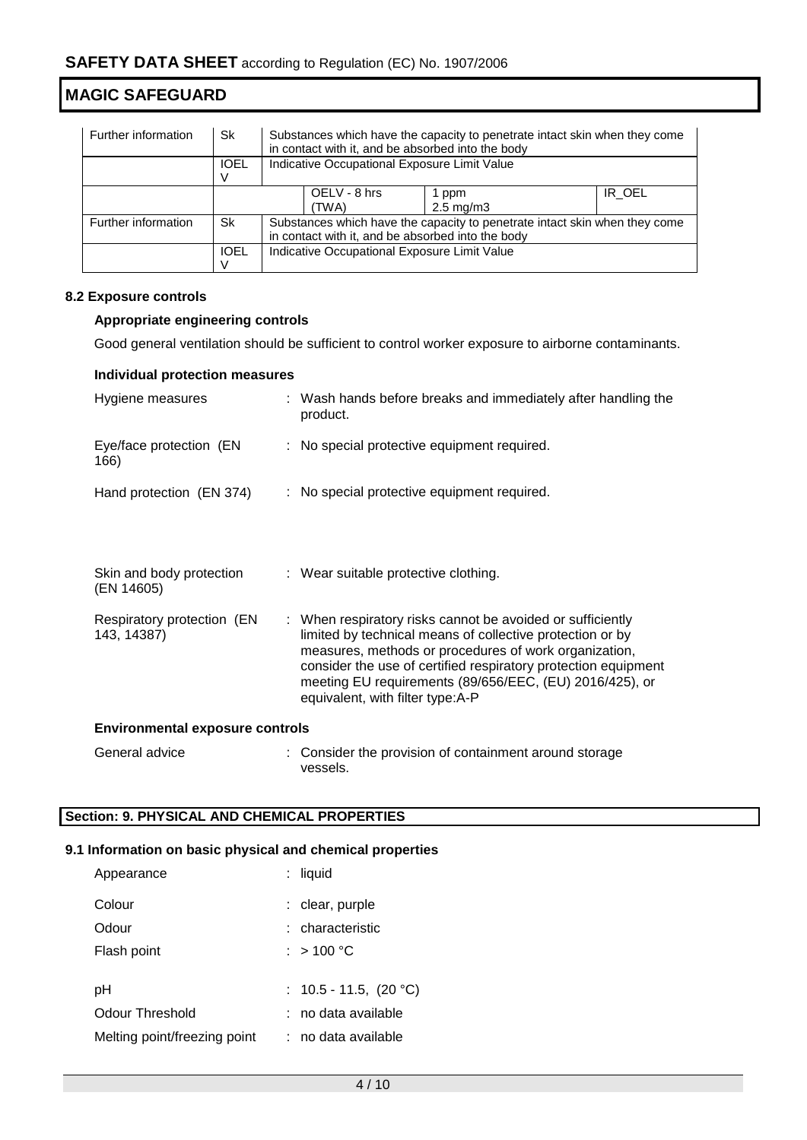| Further information | Sk          | Substances which have the capacity to penetrate intact skin when they come<br>in contact with it, and be absorbed into the body |              |                      |        |  |  |
|---------------------|-------------|---------------------------------------------------------------------------------------------------------------------------------|--------------|----------------------|--------|--|--|
|                     | <b>IOEL</b> | Indicative Occupational Exposure Limit Value                                                                                    |              |                      |        |  |  |
|                     |             |                                                                                                                                 |              |                      |        |  |  |
|                     |             |                                                                                                                                 | OELV - 8 hrs | 1 ppm                | IR OEL |  |  |
|                     |             |                                                                                                                                 | (TWA)        | $2.5 \text{ mg/m}$ 3 |        |  |  |
| Further information | Sk          | Substances which have the capacity to penetrate intact skin when they come                                                      |              |                      |        |  |  |
|                     |             | in contact with it, and be absorbed into the body                                                                               |              |                      |        |  |  |
|                     | <b>IOEL</b> | Indicative Occupational Exposure Limit Value                                                                                    |              |                      |        |  |  |
|                     |             |                                                                                                                                 |              |                      |        |  |  |

# **8.2 Exposure controls**

# **Appropriate engineering controls**

Good general ventilation should be sufficient to control worker exposure to airborne contaminants.

# **Individual protection measures**

| Hygiene measures                          |  | : Wash hands before breaks and immediately after handling the<br>product.                                                                                                                                                                                                                                                                         |  |  |
|-------------------------------------------|--|---------------------------------------------------------------------------------------------------------------------------------------------------------------------------------------------------------------------------------------------------------------------------------------------------------------------------------------------------|--|--|
| Eye/face protection (EN<br>166)           |  | : No special protective equipment required.                                                                                                                                                                                                                                                                                                       |  |  |
| Hand protection (EN 374)                  |  | : No special protective equipment required.                                                                                                                                                                                                                                                                                                       |  |  |
| Skin and body protection<br>(EN 14605)    |  | : Wear suitable protective clothing.                                                                                                                                                                                                                                                                                                              |  |  |
| Respiratory protection (EN<br>143, 14387) |  | : When respiratory risks cannot be avoided or sufficiently<br>limited by technical means of collective protection or by<br>measures, methods or procedures of work organization,<br>consider the use of certified respiratory protection equipment<br>meeting EU requirements (89/656/EEC, (EU) 2016/425), or<br>equivalent, with filter type:A-P |  |  |
| <b>Environmental exposure controls</b>    |  |                                                                                                                                                                                                                                                                                                                                                   |  |  |
| General advice                            |  | : Consider the provision of containment around storage<br>vessels.                                                                                                                                                                                                                                                                                |  |  |

# **Section: 9. PHYSICAL AND CHEMICAL PROPERTIES**

# **9.1 Information on basic physical and chemical properties**

| Appearance                   | $:$ liquid                  |
|------------------------------|-----------------------------|
| Colour                       | : clear, purple             |
| Odour                        | : characteristic            |
| Flash point                  | : $> 100 °C$                |
|                              |                             |
| рH                           | : $10.5 - 11.5$ , $(20 °C)$ |
| Odour Threshold              | : no data available         |
| Melting point/freezing point | : no data available         |
|                              |                             |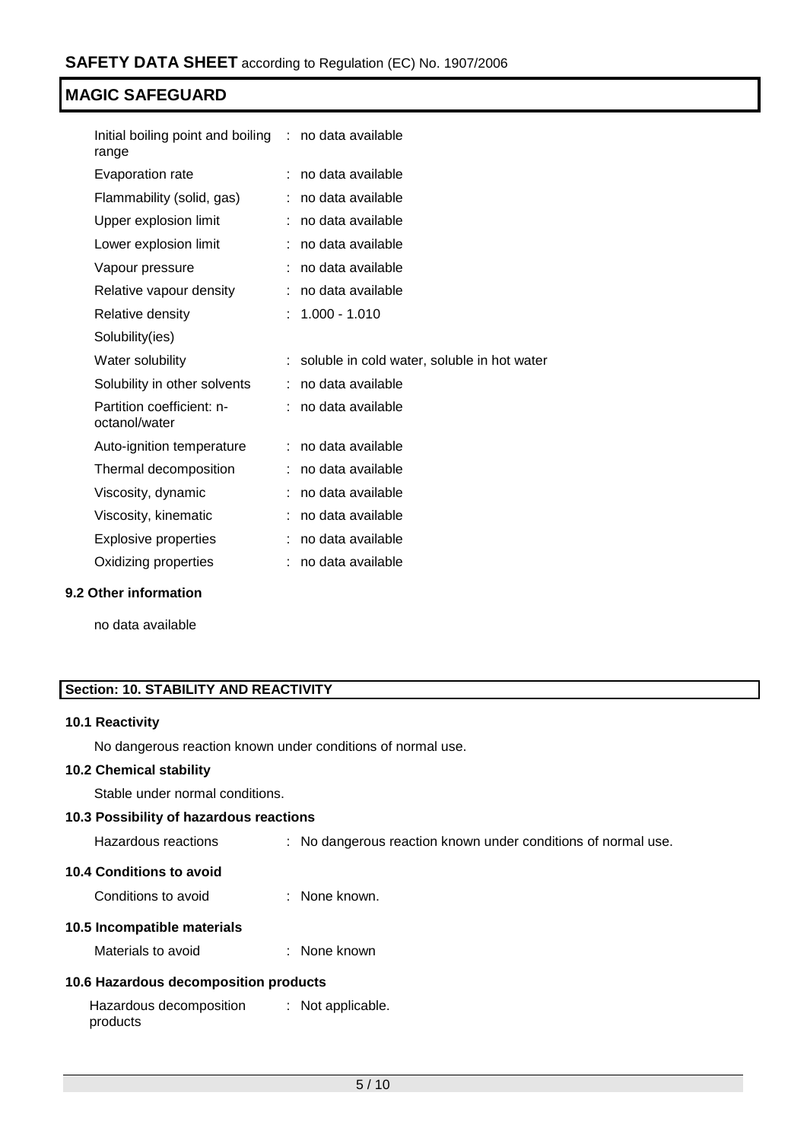| Initial boiling point and boiling : no data available<br>range |   |                                             |
|----------------------------------------------------------------|---|---------------------------------------------|
| Evaporation rate                                               |   | no data available                           |
| Flammability (solid, gas)                                      |   | no data available                           |
| Upper explosion limit                                          |   | no data available                           |
| Lower explosion limit                                          |   | no data available                           |
| Vapour pressure                                                | ÷ | no data available                           |
| Relative vapour density                                        |   | no data available                           |
| Relative density                                               |   | $1.000 - 1.010$                             |
| Solubility(ies)                                                |   |                                             |
| Water solubility                                               |   | soluble in cold water, soluble in hot water |
| Solubility in other solvents                                   | ÷ | no data available                           |
| Partition coefficient: n-<br>octanol/water                     |   | : no data available                         |
| Auto-ignition temperature                                      |   | no data available                           |
| Thermal decomposition                                          |   | no data available                           |
| Viscosity, dynamic                                             |   | no data available                           |
| Viscosity, kinematic                                           |   | no data available                           |
| <b>Explosive properties</b>                                    |   | no data available                           |
| Oxidizing properties                                           |   | no data available                           |

# **9.2 Other information**

no data available

# **Section: 10. STABILITY AND REACTIVITY**

# **10.1 Reactivity**

No dangerous reaction known under conditions of normal use.

# **10.2 Chemical stability**

Stable under normal conditions.

# **10.3 Possibility of hazardous reactions**

| Hazardous reactions |  | No dangerous reaction known under conditions of normal use. |  |  |  |  |  |
|---------------------|--|-------------------------------------------------------------|--|--|--|--|--|
|---------------------|--|-------------------------------------------------------------|--|--|--|--|--|

# **10.4 Conditions to avoid**

Conditions to avoid : None known.

# **10.5 Incompatible materials**

Materials to avoid : None known

# **10.6 Hazardous decomposition products**

| Hazardous decomposition | : Not applicable. |
|-------------------------|-------------------|
| products                |                   |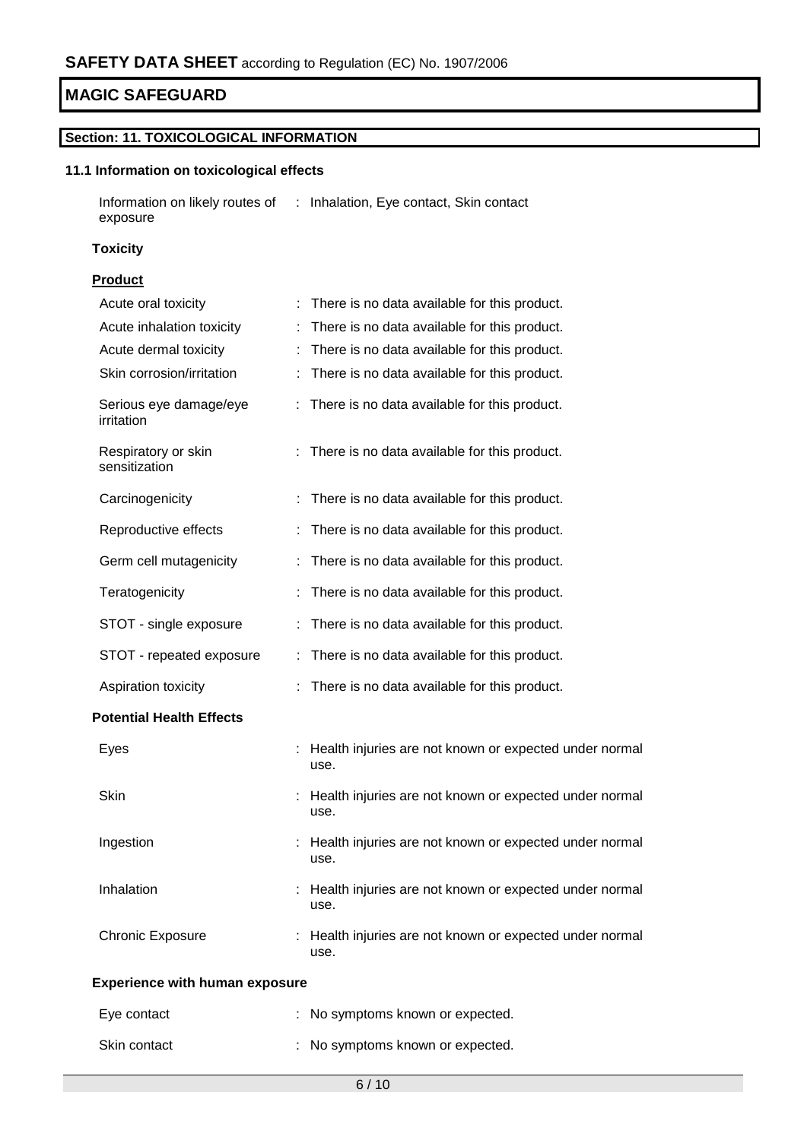# **Section: 11. TOXICOLOGICAL INFORMATION**

# **11.1 Information on toxicological effects**

| Information on likely routes of | : Inhalation, Eye contact, Skin contact |
|---------------------------------|-----------------------------------------|
| exposure                        |                                         |

# **Toxicity**

# **Product**

| Acute oral toxicity                   | There is no data available for this product.                     |
|---------------------------------------|------------------------------------------------------------------|
| Acute inhalation toxicity             | There is no data available for this product.                     |
| Acute dermal toxicity                 | There is no data available for this product.                     |
| Skin corrosion/irritation             | There is no data available for this product.                     |
| Serious eye damage/eye<br>irritation  | : There is no data available for this product.                   |
| Respiratory or skin<br>sensitization  | There is no data available for this product.                     |
| Carcinogenicity                       | There is no data available for this product.                     |
| Reproductive effects                  | There is no data available for this product.                     |
| Germ cell mutagenicity                | There is no data available for this product.                     |
| Teratogenicity                        | There is no data available for this product.                     |
| STOT - single exposure                | There is no data available for this product.                     |
| STOT - repeated exposure              | There is no data available for this product.                     |
| Aspiration toxicity                   | There is no data available for this product.                     |
| <b>Potential Health Effects</b>       |                                                                  |
| Eyes                                  | Health injuries are not known or expected under normal<br>use.   |
| Skin                                  | : Health injuries are not known or expected under normal<br>use. |
| Ingestion                             | Health injuries are not known or expected under normal<br>use.   |
| Inhalation                            | : Health injuries are not known or expected under normal<br>use. |
| <b>Chronic Exposure</b>               | Health injuries are not known or expected under normal<br>use.   |
| <b>Experience with human exposure</b> |                                                                  |
| Eye contact                           | : No symptoms known or expected.                                 |
| Skin contact                          | No symptoms known or expected.                                   |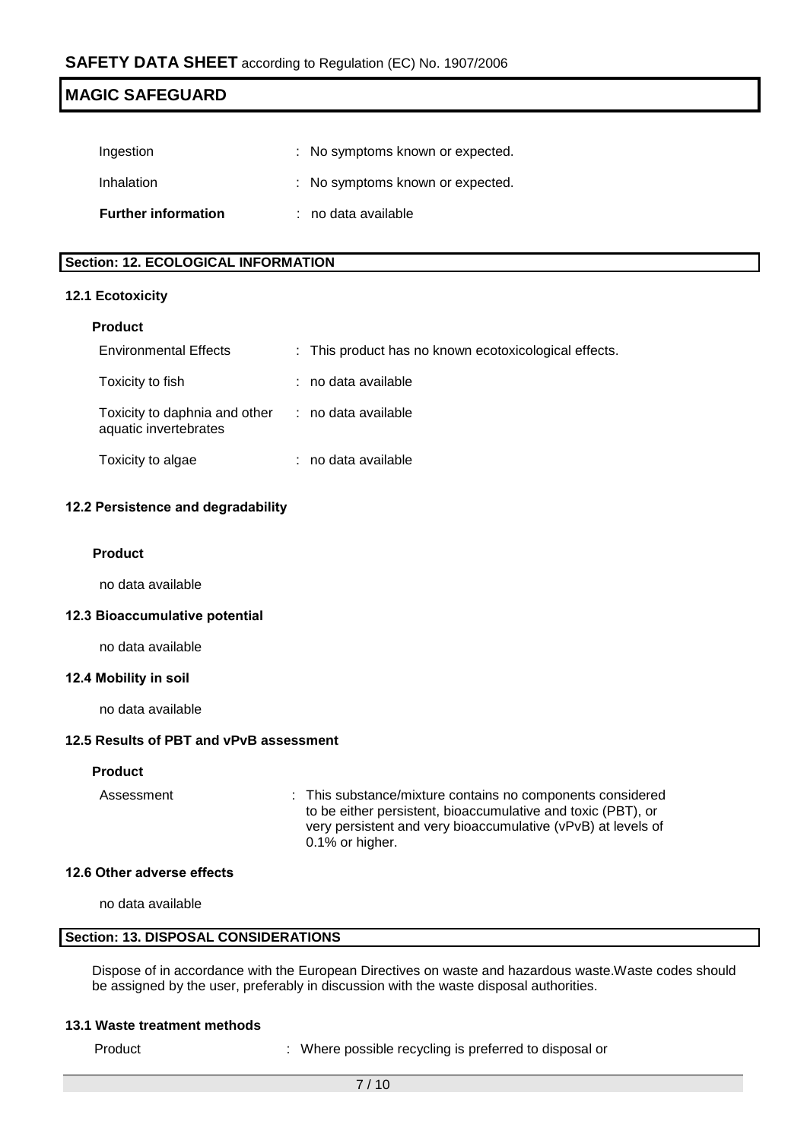| <b>Further information</b> | : no data available              |
|----------------------------|----------------------------------|
| Inhalation                 | : No symptoms known or expected. |
| Ingestion                  | : No symptoms known or expected. |

# **Section: 12. ECOLOGICAL INFORMATION**

# **12.1 Ecotoxicity**

# **Product**

| <b>Environmental Effects</b>                                               | : This product has no known ecotoxicological effects. |
|----------------------------------------------------------------------------|-------------------------------------------------------|
| Toxicity to fish                                                           | : no data available                                   |
| Toxicity to daphnia and other : no data available<br>aquatic invertebrates |                                                       |
| Toxicity to algae                                                          | : no data available                                   |

# **12.2 Persistence and degradability**

# **Product**

no data available

# **12.3 Bioaccumulative potential**

no data available

# **12.4 Mobility in soil**

no data available

# **12.5 Results of PBT and vPvB assessment**

# **Product**

Assessment : This substance/mixture contains no components considered to be either persistent, bioaccumulative and toxic (PBT), or very persistent and very bioaccumulative (vPvB) at levels of 0.1% or higher.

# **12.6 Other adverse effects**

no data available

# **Section: 13. DISPOSAL CONSIDERATIONS**

Dispose of in accordance with the European Directives on waste and hazardous waste.Waste codes should be assigned by the user, preferably in discussion with the waste disposal authorities.

#### **13.1 Waste treatment methods**

Product : Where possible recycling is preferred to disposal or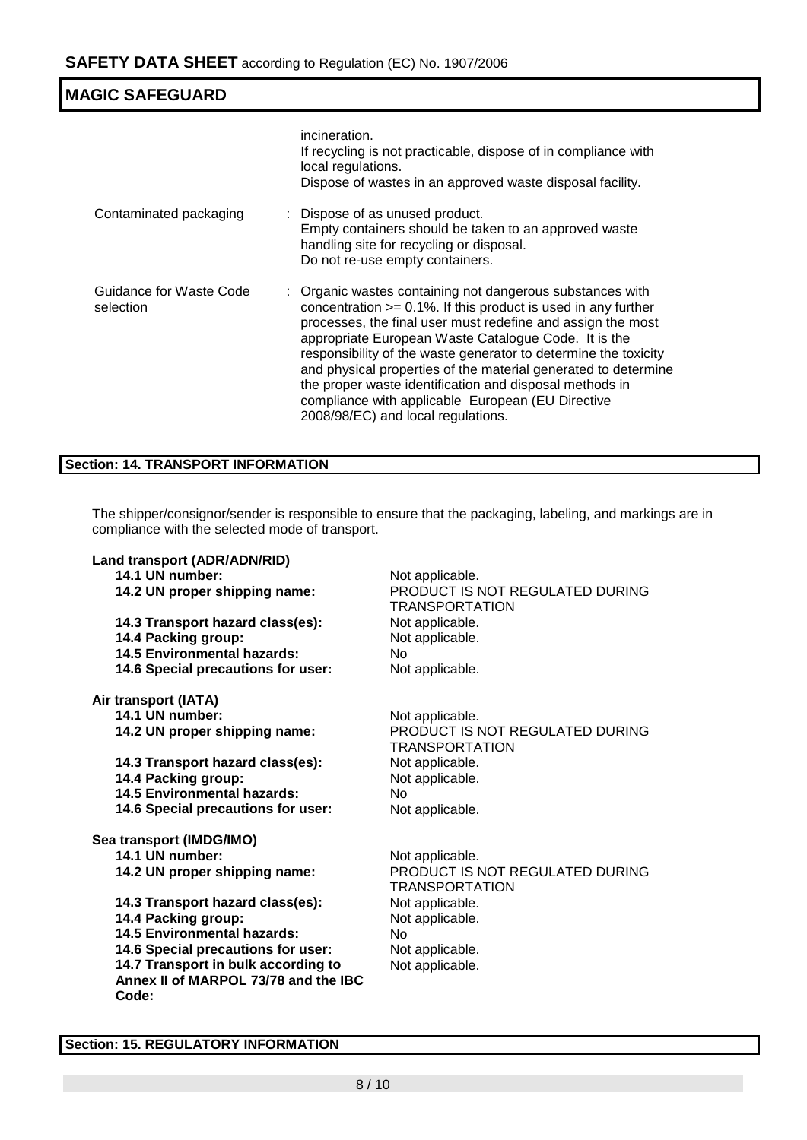| <b>MAGIC SAFEGUARD</b>               |                                                                                                                                                                                                                                                                                                                                                                                                                                                                                                                                                  |
|--------------------------------------|--------------------------------------------------------------------------------------------------------------------------------------------------------------------------------------------------------------------------------------------------------------------------------------------------------------------------------------------------------------------------------------------------------------------------------------------------------------------------------------------------------------------------------------------------|
|                                      | incineration.<br>If recycling is not practicable, dispose of in compliance with<br>local regulations.<br>Dispose of wastes in an approved waste disposal facility.                                                                                                                                                                                                                                                                                                                                                                               |
| Contaminated packaging               | : Dispose of as unused product.<br>Empty containers should be taken to an approved waste<br>handling site for recycling or disposal.<br>Do not re-use empty containers.                                                                                                                                                                                                                                                                                                                                                                          |
| Guidance for Waste Code<br>selection | : Organic wastes containing not dangerous substances with<br>concentration $>= 0.1\%$ . If this product is used in any further<br>processes, the final user must redefine and assign the most<br>appropriate European Waste Catalogue Code. It is the<br>responsibility of the waste generator to determine the toxicity<br>and physical properties of the material generated to determine<br>the proper waste identification and disposal methods in<br>compliance with applicable European (EU Directive<br>2008/98/EC) and local regulations. |

# **Section: 14. TRANSPORT INFORMATION**

The shipper/consignor/sender is responsible to ensure that the packaging, labeling, and markings are in compliance with the selected mode of transport.

| Land transport (ADR/ADN/RID)                                                                                                                                                                                                                                                                                | Not applicable.                                                                                                                                               |
|-------------------------------------------------------------------------------------------------------------------------------------------------------------------------------------------------------------------------------------------------------------------------------------------------------------|---------------------------------------------------------------------------------------------------------------------------------------------------------------|
| 14.1 UN number:                                                                                                                                                                                                                                                                                             | PRODUCT IS NOT REGULATED DURING                                                                                                                               |
| 14.2 UN proper shipping name:                                                                                                                                                                                                                                                                               | TRANSPORTATION                                                                                                                                                |
| 14.3 Transport hazard class(es):                                                                                                                                                                                                                                                                            | Not applicable.                                                                                                                                               |
| 14.4 Packing group:                                                                                                                                                                                                                                                                                         | Not applicable.                                                                                                                                               |
| <b>14.5 Environmental hazards:</b>                                                                                                                                                                                                                                                                          | N <sub>0</sub>                                                                                                                                                |
| 14.6 Special precautions for user:                                                                                                                                                                                                                                                                          | Not applicable.                                                                                                                                               |
| Air transport (IATA)                                                                                                                                                                                                                                                                                        | Not applicable.                                                                                                                                               |
| 14.1 UN number:                                                                                                                                                                                                                                                                                             | PRODUCT IS NOT REGULATED DURING                                                                                                                               |
| 14.2 UN proper shipping name:                                                                                                                                                                                                                                                                               | <b>TRANSPORTATION</b>                                                                                                                                         |
| 14.3 Transport hazard class(es):                                                                                                                                                                                                                                                                            | Not applicable.                                                                                                                                               |
| 14.4 Packing group:                                                                                                                                                                                                                                                                                         | Not applicable.                                                                                                                                               |
| <b>14.5 Environmental hazards:</b>                                                                                                                                                                                                                                                                          | No.                                                                                                                                                           |
| 14.6 Special precautions for user:                                                                                                                                                                                                                                                                          | Not applicable.                                                                                                                                               |
| Sea transport (IMDG/IMO)<br>14.1 UN number:<br>14.2 UN proper shipping name:<br>14.3 Transport hazard class(es):<br>14.4 Packing group:<br><b>14.5 Environmental hazards:</b><br>14.6 Special precautions for user:<br>14.7 Transport in bulk according to<br>Annex II of MARPOL 73/78 and the IBC<br>Code: | Not applicable.<br>PRODUCT IS NOT REGULATED DURING<br>TRANSPORTATION<br>Not applicable.<br>Not applicable.<br><b>No</b><br>Not applicable.<br>Not applicable. |

# **Section: 15. REGULATORY INFORMATION**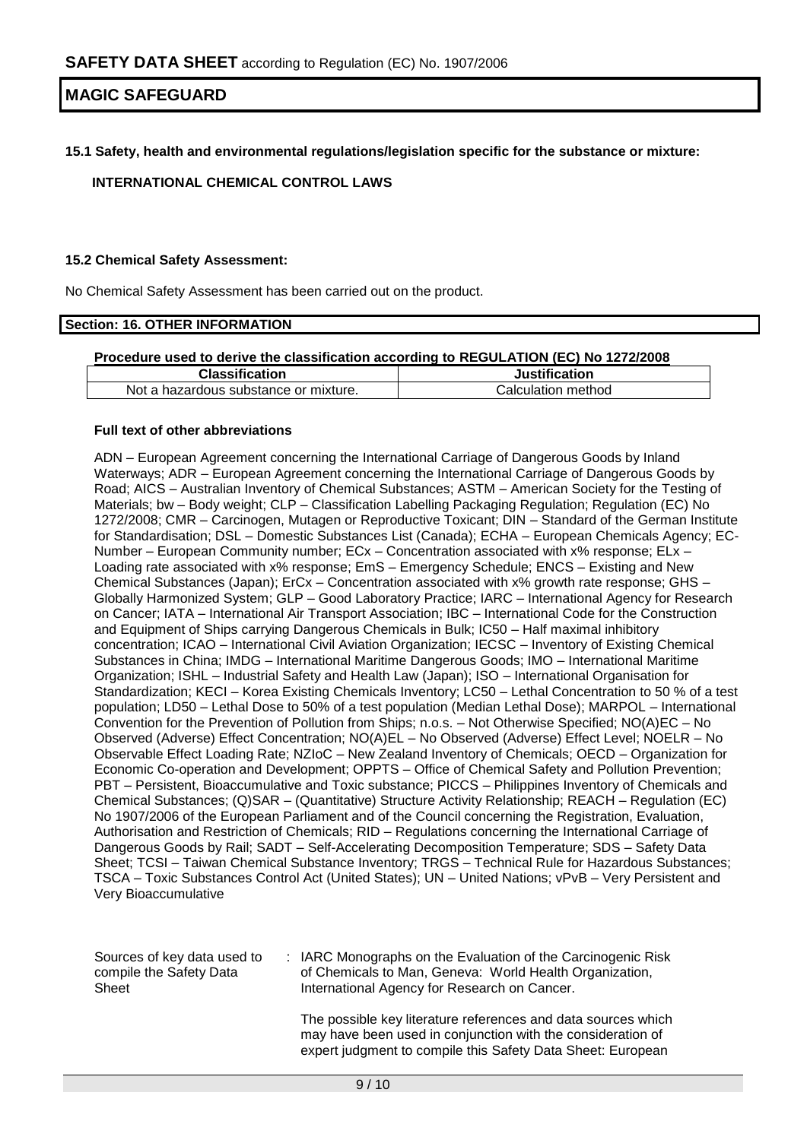# **15.1 Safety, health and environmental regulations/legislation specific for the substance or mixture:**

# **INTERNATIONAL CHEMICAL CONTROL LAWS**

# **15.2 Chemical Safety Assessment:**

No Chemical Safety Assessment has been carried out on the product.

#### **Section: 16. OTHER INFORMATION**

# **Procedure used to derive the classification according to REGULATION (EC) No 1272/2008**

| Classification                        | Justification      |
|---------------------------------------|--------------------|
| Not a hazardous substance or mixture. | Calculation method |

#### **Full text of other abbreviations**

ADN – European Agreement concerning the International Carriage of Dangerous Goods by Inland Waterways; ADR – European Agreement concerning the International Carriage of Dangerous Goods by Road; AICS – Australian Inventory of Chemical Substances; ASTM – American Society for the Testing of Materials; bw – Body weight; CLP – Classification Labelling Packaging Regulation; Regulation (EC) No 1272/2008; CMR – Carcinogen, Mutagen or Reproductive Toxicant; DIN – Standard of the German Institute for Standardisation; DSL – Domestic Substances List (Canada); ECHA – European Chemicals Agency; EC-Number – European Community number; ECx – Concentration associated with x% response; ELx – Loading rate associated with x% response; EmS – Emergency Schedule; ENCS – Existing and New Chemical Substances (Japan); ErCx – Concentration associated with x% growth rate response; GHS – Globally Harmonized System; GLP – Good Laboratory Practice; IARC – International Agency for Research on Cancer; IATA – International Air Transport Association; IBC – International Code for the Construction and Equipment of Ships carrying Dangerous Chemicals in Bulk; IC50 – Half maximal inhibitory concentration; ICAO – International Civil Aviation Organization; IECSC – Inventory of Existing Chemical Substances in China; IMDG – International Maritime Dangerous Goods; IMO – International Maritime Organization; ISHL – Industrial Safety and Health Law (Japan); ISO – International Organisation for Standardization; KECI – Korea Existing Chemicals Inventory; LC50 – Lethal Concentration to 50 % of a test population; LD50 – Lethal Dose to 50% of a test population (Median Lethal Dose); MARPOL – International Convention for the Prevention of Pollution from Ships; n.o.s. – Not Otherwise Specified; NO(A)EC – No Observed (Adverse) Effect Concentration; NO(A)EL – No Observed (Adverse) Effect Level; NOELR – No Observable Effect Loading Rate; NZIoC – New Zealand Inventory of Chemicals; OECD – Organization for Economic Co-operation and Development; OPPTS – Office of Chemical Safety and Pollution Prevention; PBT – Persistent, Bioaccumulative and Toxic substance; PICCS – Philippines Inventory of Chemicals and Chemical Substances; (Q)SAR – (Quantitative) Structure Activity Relationship; REACH – Regulation (EC) No 1907/2006 of the European Parliament and of the Council concerning the Registration, Evaluation, Authorisation and Restriction of Chemicals; RID – Regulations concerning the International Carriage of Dangerous Goods by Rail; SADT – Self-Accelerating Decomposition Temperature; SDS – Safety Data Sheet; TCSI – Taiwan Chemical Substance Inventory; TRGS – Technical Rule for Hazardous Substances; TSCA – Toxic Substances Control Act (United States); UN – United Nations; vPvB – Very Persistent and Very Bioaccumulative

| Sources of key data used to<br>compile the Safety Data | IARC Monographs on the Evaluation of the Carcinogenic Risk<br>of Chemicals to Man, Geneva: World Health Organization, |
|--------------------------------------------------------|-----------------------------------------------------------------------------------------------------------------------|
| Sheet                                                  | International Agency for Research on Cancer.                                                                          |

The possible key literature references and data sources which may have been used in conjunction with the consideration of expert judgment to compile this Safety Data Sheet: European